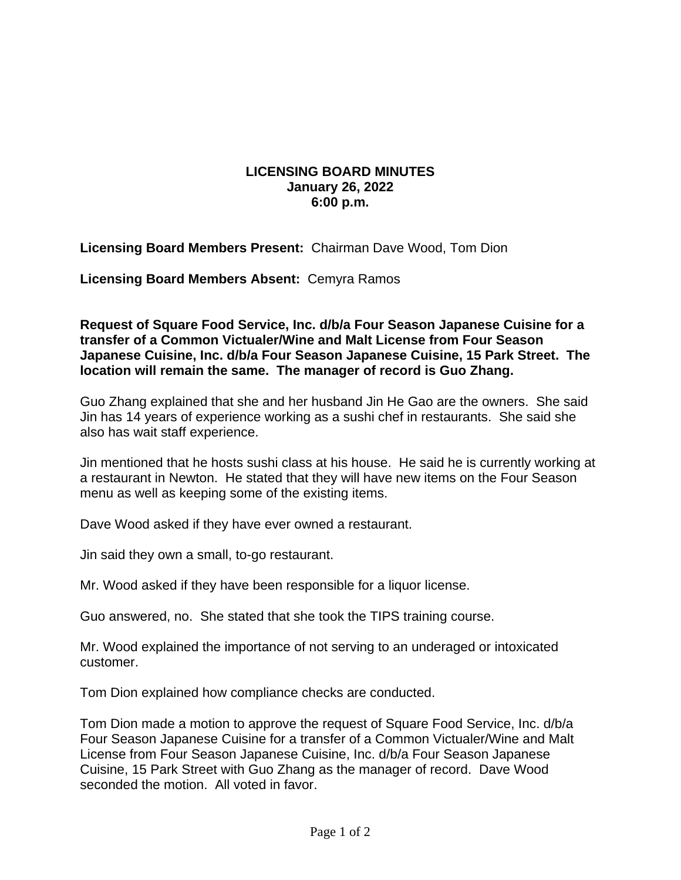## **LICENSING BOARD MINUTES January 26, 2022 6:00 p.m.**

**Licensing Board Members Present:** Chairman Dave Wood, Tom Dion

**Licensing Board Members Absent:** Cemyra Ramos

**Request of Square Food Service, Inc. d/b/a Four Season Japanese Cuisine for a transfer of a Common Victualer/Wine and Malt License from Four Season Japanese Cuisine, Inc. d/b/a Four Season Japanese Cuisine, 15 Park Street. The location will remain the same. The manager of record is Guo Zhang.**

Guo Zhang explained that she and her husband Jin He Gao are the owners. She said Jin has 14 years of experience working as a sushi chef in restaurants. She said she also has wait staff experience.

Jin mentioned that he hosts sushi class at his house. He said he is currently working at a restaurant in Newton. He stated that they will have new items on the Four Season menu as well as keeping some of the existing items.

Dave Wood asked if they have ever owned a restaurant.

Jin said they own a small, to-go restaurant.

Mr. Wood asked if they have been responsible for a liquor license.

Guo answered, no. She stated that she took the TIPS training course.

Mr. Wood explained the importance of not serving to an underaged or intoxicated customer.

Tom Dion explained how compliance checks are conducted.

Tom Dion made a motion to approve the request of Square Food Service, Inc. d/b/a Four Season Japanese Cuisine for a transfer of a Common Victualer/Wine and Malt License from Four Season Japanese Cuisine, Inc. d/b/a Four Season Japanese Cuisine, 15 Park Street with Guo Zhang as the manager of record. Dave Wood seconded the motion. All voted in favor.